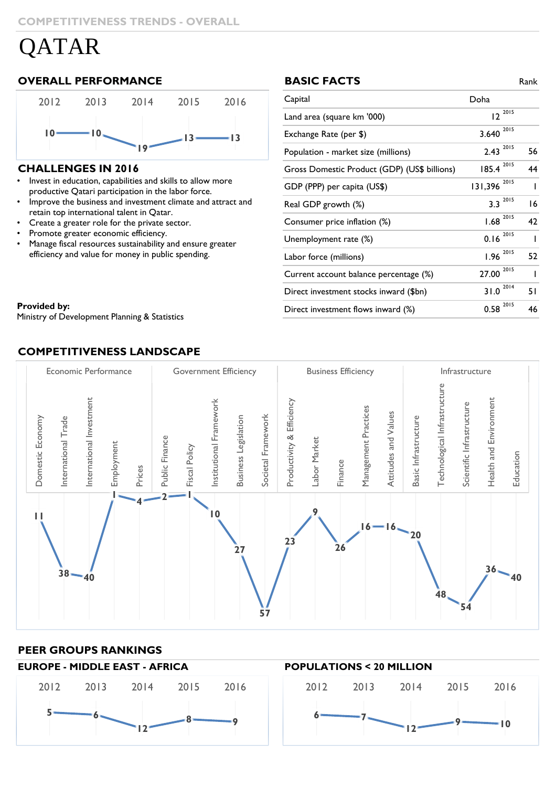# QATAR

### **OVERALL PERFORMANCE BASIC FACTS** Rank



#### **CHALLENGES IN 2016**

- Invest in education, capabilities and skills to allow more productive productive Qatari participation in the labor force. • Invest in education, capabilities and skills to allow more
- Improve the business and investment climate and attract and retain top international talent in Qatar.
- Create a greater role for the private sector.
- Promote greater economic efficiency.
- Manage fiscal resources sustainability and ensure greater efficiency and value for money in public spending.

#### **BASIC FACTS**

| Capital                                      | Doha            |    |
|----------------------------------------------|-----------------|----|
| Land area (square km '000)                   | $12^{2015}$     |    |
| Exchange Rate (per \$)                       | 2015<br>3.640   |    |
| Population - market size (millions)          | 2015<br>2.43    | 56 |
| Gross Domestic Product (GDP) (US\$ billions) | 2015<br>185.4   | 44 |
| GDP (PPP) per capita (US\$)                  | 2015<br>131,396 |    |
| Real GDP growth (%)                          | 2015<br>3.3     | 16 |
| Consumer price inflation (%)                 | 2015<br>1.68    | 42 |
| Unemployment rate (%)                        | 2015<br>0.16    | I  |
| Labor force (millions)                       | 2015<br>1.96    | 52 |
| Current account balance percentage (%)       | 2015<br>27.00   |    |
| Direct investment stocks inward (\$bn)       | 2014<br>31.0    | 51 |
| Direct investment flows inward (%)           | 2015<br>0.58    | 46 |

#### **Provided by:** Statistical Burning  $\mathbf{S}$  Statistics of Development  $\mathbf{S}$

Ministry of Development Planning & Statistics

## **COMPETITIVENESS LANDSCAPE**



#### **PEER GROUPS RANKINGS**

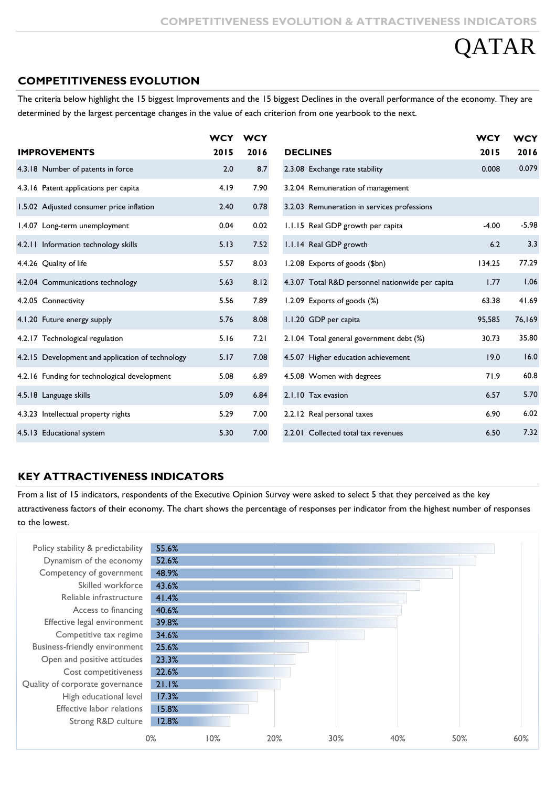# **DATAR**

### **COMPETITIVENESS EVOLUTION**

The criteria below highlight the 15 biggest Improvements and the 15 biggest Declines in the overall performance of the economy. They are determined by the largest percentage changes in the value of each criterion from one yearbook to the next.

|                                                  | <b>WCY</b> | <b>WCY</b> |                                                  | <b>WCY</b> | <b>WCY</b> |
|--------------------------------------------------|------------|------------|--------------------------------------------------|------------|------------|
| <b>IMPROVEMENTS</b>                              | 2015       | 2016       | <b>DECLINES</b>                                  | 2015       | 2016       |
| 4.3.18 Number of patents in force                | 2.0        | 8.7        | 2.3.08 Exchange rate stability                   | 0.008      | 0.079      |
| 4.3.16 Patent applications per capita            | 4.19       | 7.90       | 3.2.04 Remuneration of management                |            |            |
| 1.5.02 Adjusted consumer price inflation         | 2.40       | 0.78       | 3.2.03 Remuneration in services professions      |            |            |
| 1.4.07 Long-term unemployment                    | 0.04       | 0.02       | 1.1.15 Real GDP growth per capita                | $-4.00$    | $-5.98$    |
| 4.2.11 Information technology skills             | 5.13       | 7.52       | 1.1.14 Real GDP growth                           | 6.2        | 3.3        |
| 4.4.26 Quality of life                           | 5.57       | 8.03       | 1.2.08 Exports of goods (\$bn)                   | 134.25     | 77.29      |
| 4.2.04 Communications technology                 | 5.63       | 8.12       | 4.3.07 Total R&D personnel nationwide per capita | 1.77       | 1.06       |
| 4.2.05 Connectivity                              | 5.56       | 7.89       | 1.2.09 Exports of goods (%)                      | 63.38      | 41.69      |
| 4.1.20 Future energy supply                      | 5.76       | 8.08       | 1.1.20 GDP per capita                            | 95,585     | 76,169     |
| 4.2.17 Technological regulation                  | 5.16       | 7.21       | 2.1.04 Total general government debt (%)         | 30.73      | 35.80      |
| 4.2.15 Development and application of technology | 5.17       | 7.08       | 4.5.07 Higher education achievement              | 19.0       | 16.0       |
| 4.2.16 Funding for technological development     | 5.08       | 6.89       | 4.5.08 Women with degrees                        | 71.9       | 60.8       |
| 4.5.18 Language skills                           | 5.09       | 6.84       | 2.1.10 Tax evasion                               | 6.57       | 5.70       |
| 4.3.23 Intellectual property rights              | 5.29       | 7.00       | 2.2.12 Real personal taxes                       | 6.90       | 6.02       |
| 4.5.13 Educational system                        | 5.30       | 7.00       | 2.2.01 Collected total tax revenues              | 6.50       | 7.32       |

#### **KEY ATTRACTIVENESS INDICATORS**

From a list of 15 indicators, respondents of the Executive Opinion Survey were asked to select 5 that they perceived as the key attractiveness factors of their economy. The chart shows the percentage of responses per indicator from the highest number of responses to the lowest.

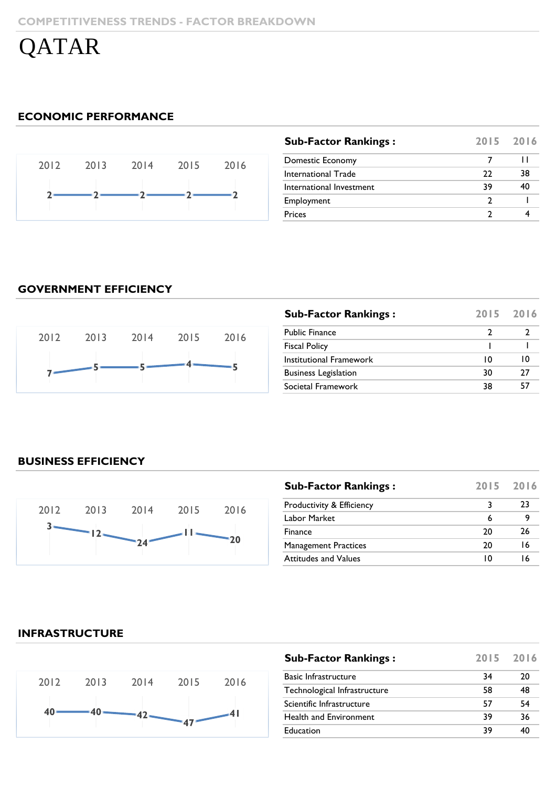QATAR

## **ECONOMIC PERFORMANCE**



| <b>Sub-Factor Rankings:</b> |    | 2015 2016 |
|-----------------------------|----|-----------|
| Domestic Economy            |    | ш         |
| International Trade         | 22 | 38        |
| International Investment    | 39 | 40        |
| Employment                  |    |           |
| Prices                      |    |           |
|                             |    |           |

# **GOVERNMENT EFFICIENCY**



| <b>Sub-Factor Rankings:</b> | 2015 | 2016 |
|-----------------------------|------|------|
| <b>Public Finance</b>       | 7    |      |
| <b>Fiscal Policy</b>        |      |      |
| Institutional Framework     | 10   | 10   |
| <b>Business Legislation</b> | 30   | 27   |
| Societal Framework          | 38   | 57   |

## **BUSINESS EFFICIENCY**



| <b>Sub-Factor Rankings:</b> |    | 2015 2016 |
|-----------------------------|----|-----------|
| Productivity & Efficiency   | 3  | 23        |
| Labor Market                | 6  |           |
| Finance                     | 20 | 26        |
| <b>Management Practices</b> | 20 | 16        |
| <b>Attitudes and Values</b> | ı٥ | 16        |

#### **INFRASTRUCTURE**



| <b>Sub-Factor Rankings:</b>  | 2015 2016 |    |
|------------------------------|-----------|----|
| <b>Basic Infrastructure</b>  | 34        | 20 |
| Technological Infrastructure | 58        | 48 |
| Scientific Infrastructure    | 57        | 54 |
| Health and Environment       | 39        | 36 |
| Education                    | 39        | 40 |